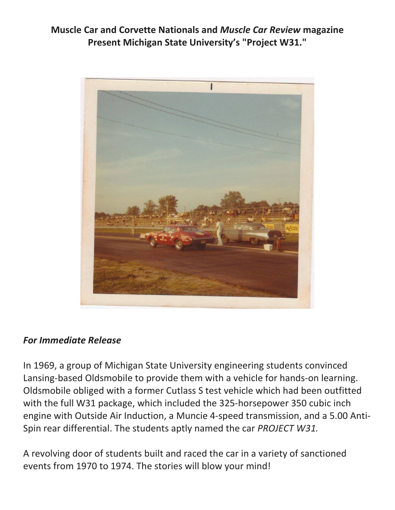**Muscle Car and Corvette Nationals and** *Muscle Car Review* **magazine Present Michigan State University's "Project W31."**



## *For Immediate Release*

In 1969, a group of Michigan State University engineering students convinced Lansing-based Oldsmobile to provide them with a vehicle for hands-on learning. Oldsmobile obliged with a former Cutlass S test vehicle which had been outfitted with the full W31 package, which included the 325-horsepower 350 cubic inch engine with Outside Air Induction, a Muncie 4-speed transmission, and a 5.00 Anti-Spin rear differential. The students aptly named the car *PROJECT W31.*

A revolving door of students built and raced the car in a variety of sanctioned events from 1970 to 1974. The stories will blow your mind!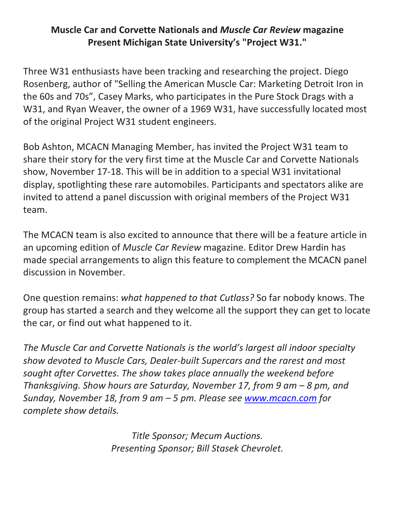## **Muscle Car and Corvette Nationals and** *Muscle Car Review* **magazine Present Michigan State University's "Project W31."**

Three W31 enthusiasts have been tracking and researching the project. Diego Rosenberg, author of "Selling the American Muscle Car: Marketing Detroit Iron in the 60s and 70s", Casey Marks, who participates in the Pure Stock Drags with a W31, and Ryan Weaver, the owner of a 1969 W31, have successfully located most of the original Project W31 student engineers.

Bob Ashton, MCACN Managing Member, has invited the Project W31 team to share their story for the very first time at the Muscle Car and Corvette Nationals show, November 17-18. This will be in addition to a special W31 invitational display, spotlighting these rare automobiles. Participants and spectators alike are invited to attend a panel discussion with original members of the Project W31 team.

The MCACN team is also excited to announce that there will be a feature article in an upcoming edition of *Muscle Car Review* magazine. Editor Drew Hardin has made special arrangements to align this feature to complement the MCACN panel discussion in November.

One question remains: *what happened to that Cutlass?* So far nobody knows. The group has started a search and they welcome all the support they can get to locate the car, or find out what happened to it.

*The Muscle Car and Corvette Nationals is the world's largest all indoor specialty show devoted to Muscle Cars, Dealer-built Supercars and the rarest and most sought after Corvettes. The show takes place annually the weekend before Thanksgiving. Show hours are Saturday, November 17, from 9 am – 8 pm, and Sunday, November 18, from 9 am – 5 pm. Please see [www.mcacn.com](http://www.mcacn.com/) for complete show details.*

> *Title Sponsor; Mecum Auctions. Presenting Sponsor; Bill Stasek Chevrolet.*